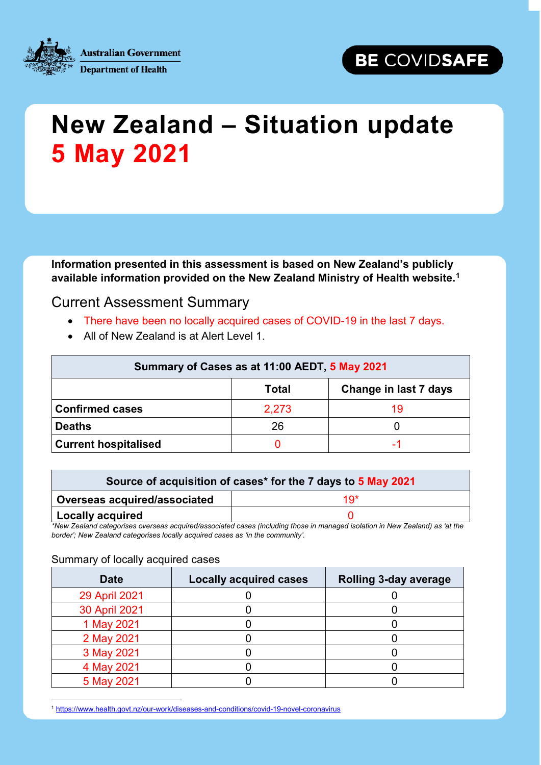



## **New Zealand – Situation update 5 May 2021**

**Information presented in this assessment is based on New Zealand's publicly available information provided on the New Zealand Ministry of Health website.[1](#page-0-0)**

## Current Assessment Summary

- There have been no locally acquired cases of COVID-19 in the last 7 days.
- All of New Zealand is at Alert Level 1.

| Summary of Cases as at 11:00 AEDT, 5 May 2021 |              |                       |  |  |
|-----------------------------------------------|--------------|-----------------------|--|--|
|                                               | <b>Total</b> | Change in last 7 days |  |  |
| <b>Confirmed cases</b>                        | 2,273        | 19                    |  |  |
| <b>Deaths</b>                                 | 26           |                       |  |  |
| <b>Current hospitalised</b>                   |              |                       |  |  |

| Source of acquisition of cases* for the 7 days to 5 May 2021 |     |  |  |
|--------------------------------------------------------------|-----|--|--|
| Overseas acquired/associated                                 | 1Q* |  |  |
| Locally acquired                                             |     |  |  |

*\*New Zealand categorises overseas acquired/associated cases (including those in managed isolation in New Zealand) as 'at the border'; New Zealand categorises locally acquired cases as 'in the community'.*

## Summary of locally acquired cases

| <b>Date</b>          | <b>Locally acquired cases</b> | <b>Rolling 3-day average</b> |  |
|----------------------|-------------------------------|------------------------------|--|
| <b>29 April 2021</b> |                               |                              |  |
| 30 April 2021        |                               |                              |  |
| 1 May 2021           |                               |                              |  |
| 2 May 2021           |                               |                              |  |
| 3 May 2021           |                               |                              |  |
| 4 May 2021           |                               |                              |  |
| 5 May 2021           |                               |                              |  |

<span id="page-0-0"></span>1 <https://www.health.govt.nz/our-work/diseases-and-conditions/covid-19-novel-coronavirus>